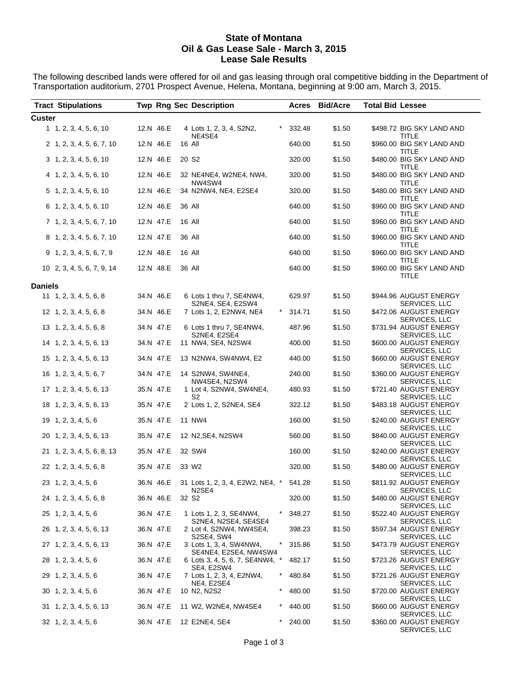#### **State of Montana Oil & Gas Lease Sale - March 3, 2015 Lease Sale Results**

The following described lands were offered for oil and gas leasing through oral competitive bidding in the Department of Transportation auditorium, 2701 Prospect Avenue, Helena, Montana, beginning at 9:00 am, March 3, 2015.

|         | <b>Tract Stipulations</b>      |           |        | <b>Twp Rng Sec Description</b>                             |   |        | Acres Bid/Acre | <b>Total Bid Lessee</b> |                                           |
|---------|--------------------------------|-----------|--------|------------------------------------------------------------|---|--------|----------------|-------------------------|-------------------------------------------|
| Custer  |                                |           |        |                                                            |   |        |                |                         |                                           |
|         | 1, 1, 2, 3, 4, 5, 6, 10        | 12.N 46.E |        | 4 Lots 1, 2, 3, 4, S2N2,<br>NE4SE4                         |   | 332.48 | \$1.50         |                         | \$498.72 BIG SKY LAND AND<br><b>TITLE</b> |
|         | 2 1, 2, 3, 4, 5, 6, 7, 10      | 12.N 46.E |        | 16 All                                                     |   | 640.00 | \$1.50         |                         | \$960.00 BIG SKY LAND AND<br><b>TITLE</b> |
|         | 3 1, 2, 3, 4, 5, 6, 10         | 12.N 46.E |        | 20 S <sub>2</sub>                                          |   | 320.00 | \$1.50         |                         | \$480.00 BIG SKY LAND AND<br>TITLE        |
|         | 4 1, 2, 3, 4, 5, 6, 10         | 12.N 46.E |        | 32 NE4NE4, W2NE4, NW4,<br>NW4SW4                           |   | 320.00 | \$1.50         |                         | \$480.00 BIG SKY LAND AND<br><b>TITLE</b> |
|         | 5 1, 2, 3, 4, 5, 6, 10         | 12.N 46.E |        | 34 N2NW4, NE4, E2SE4                                       |   | 320.00 | \$1.50         |                         | \$480.00 BIG SKY LAND AND<br><b>TITLE</b> |
|         | 6 1, 2, 3, 4, 5, 6, 10         | 12.N 46.E |        | 36 All                                                     |   | 640.00 | \$1.50         |                         | \$960.00 BIG SKY LAND AND<br><b>TITLE</b> |
|         | 7 1, 2, 3, 4, 5, 6, 7, 10      | 12.N 47.E | 16 All |                                                            |   | 640.00 | \$1.50         |                         | \$960.00 BIG SKY LAND AND<br>TITLE        |
|         | 8 1, 2, 3, 4, 5, 6, 7, 10      | 12.N 47.E | 36 All |                                                            |   | 640.00 | \$1.50         |                         | \$960.00 BIG SKY LAND AND<br>TITLE        |
|         | 9 1, 2, 3, 4, 5, 6, 7, 9       | 12.N 48.E |        | 16 All                                                     |   | 640.00 | \$1.50         |                         | \$960.00 BIG SKY LAND AND<br>TITLE        |
|         | 10 2, 3, 4, 5, 6, 7, 9, 14     | 12.N 48.E |        | 36 All                                                     |   | 640.00 | \$1.50         |                         | \$960.00 BIG SKY LAND AND<br>TITLE        |
| Daniels |                                |           |        |                                                            |   |        |                |                         |                                           |
|         | $11 \quad 1, 2, 3, 4, 5, 6, 8$ | 34.N 46.E |        | 6 Lots 1 thru 7, SE4NW4,<br>S2NE4, SE4, E2SW4              |   | 629.97 | \$1.50         |                         | \$944.96 AUGUST ENERGY<br>SERVICES, LLC   |
|         | 12 1, 2, 3, 4, 5, 6, 8         | 34.N 46.E |        | 7 Lots 1, 2, E2NW4, NE4                                    | * | 314.71 | \$1.50         |                         | \$472.06 AUGUST ENERGY<br>SERVICES, LLC   |
|         | 13 1, 2, 3, 4, 5, 6, 8         | 34.N 47.E |        | 6 Lots 1 thru 7, SE4NW4,<br>S2NE4, E2SE4                   |   | 487.96 | \$1.50         |                         | \$731.94 AUGUST ENERGY<br>SERVICES, LLC   |
|         | 14 1, 2, 3, 4, 5, 6, 13        | 34.N 47.E |        | 11 NW4, SE4, N2SW4                                         |   | 400.00 | \$1.50         |                         | \$600.00 AUGUST ENERGY<br>SERVICES, LLC   |
|         | 15 1, 2, 3, 4, 5, 6, 13        | 34.N 47.E |        | 13 N2NW4, SW4NW4, E2                                       |   | 440.00 | \$1.50         |                         | \$660.00 AUGUST ENERGY<br>SERVICES, LLC   |
|         | $16 \quad 1, 2, 3, 4, 5, 6, 7$ | 34.N 47.E |        | 14 S2NW4, SW4NE4,<br>NW4SE4, N2SW4                         |   | 240.00 | \$1.50         |                         | \$360.00 AUGUST ENERGY<br>SERVICES, LLC   |
|         | 17 1, 2, 3, 4, 5, 6, 13        | 35.N 47.E |        | 1 Lot 4, S2NW4, SW4NE4,<br>S2                              |   | 480.93 | \$1.50         |                         | \$721.40 AUGUST ENERGY<br>SERVICES, LLC   |
|         | 18 1, 2, 3, 4, 5, 6, 13        | 35.N 47.E |        | 2 Lots 1, 2, S2NE4, SE4                                    |   | 322.12 | \$1.50         |                         | \$483.18 AUGUST ENERGY<br>SERVICES, LLC   |
|         | 19 1, 2, 3, 4, 5, 6            | 35.N 47.E |        | 11 NW4                                                     |   | 160.00 | \$1.50         |                         | \$240.00 AUGUST ENERGY<br>SERVICES, LLC   |
|         | 20 1, 2, 3, 4, 5, 6, 13        | 35.N 47.E |        | 12 N2, SE4, N2SW4                                          |   | 560.00 | \$1.50         |                         | \$840.00 AUGUST ENERGY<br>SERVICES, LLC   |
|         | 21 1, 2, 3, 4, 5, 6, 8, 13     | 35.N 47.E |        | 32 SW4                                                     |   | 160.00 | \$1.50         |                         | \$240.00 AUGUST ENERGY<br>SERVICES, LLC   |
|         | 22 1, 2, 3, 4, 5, 6, 8         | 35.N 47.E |        | 33 W <sub>2</sub>                                          |   | 320.00 | \$1.50         |                         | \$480.00 AUGUST ENERGY<br>SERVICES, LLC   |
|         | 23 1, 2, 3, 4, 5, 6            |           |        | 36.N 46.E 31 Lots 1, 2, 3, 4, E2W2, NE4, * 541.28<br>N2SE4 |   |        | \$1.50         |                         | \$811.92 AUGUST ENERGY<br>SERVICES, LLC   |
|         | 24 1, 2, 3, 4, 5, 6, 8         | 36.N 46.E |        | 32 S <sub>2</sub>                                          |   | 320.00 | \$1.50         |                         | \$480.00 AUGUST ENERGY<br>SERVICES, LLC   |
|         | 25 1, 2, 3, 4, 5, 6            | 36.N 47.E |        | 1 Lots 1, 2, 3, SE4NW4,<br>S2NE4, N2SE4, SE4SE4            | * | 348.27 | \$1.50         |                         | \$522.40 AUGUST ENERGY<br>SERVICES, LLC   |
|         | 26 1, 2, 3, 4, 5, 6, 13        | 36.N 47.E |        | 2 Lot 4, S2NW4, NW4SE4,<br>S2SE4, SW4                      |   | 398.23 | \$1.50         |                         | \$597.34 AUGUST ENERGY<br>SERVICES, LLC   |
|         | 27 1, 2, 3, 4, 5, 6, 13        | 36.N 47.E |        | 3 Lots 1, 3, 4, SW4NW4,<br>SE4NE4, E2SE4, NW4SW4           | * | 315.86 | \$1.50         |                         | \$473.79 AUGUST ENERGY<br>SERVICES, LLC   |
|         | 28 1, 2, 3, 4, 5, 6            | 36.N 47.E |        | 6 Lots 3, 4, 5, 6, 7, SE4NW4, *<br>SE4, E2SW4              |   | 482.17 | \$1.50         |                         | \$723.26 AUGUST ENERGY<br>SERVICES, LLC   |
|         | 29 1, 2, 3, 4, 5, 6            | 36.N 47.E |        | 7 Lots 1, 2, 3, 4, E2NW4,<br>NE4, E2SE4                    |   | 480.84 | \$1.50         |                         | \$721.26 AUGUST ENERGY<br>SERVICES, LLC   |
|         | $30 \quad 1, 2, 3, 4, 5, 6$    | 36.N 47.E |        | 10 N2, N2S2                                                |   | 480.00 | \$1.50         |                         | \$720.00 AUGUST ENERGY<br>SERVICES, LLC   |
|         | 31 1, 2, 3, 4, 5, 6, 13        | 36.N 47.E |        | 11 W2, W2NE4, NW4SE4                                       |   | 440.00 | \$1.50         |                         | \$660.00 AUGUST ENERGY<br>SERVICES, LLC   |
|         | $32 \quad 1, 2, 3, 4, 5, 6$    | 36.N 47.E |        | 12 E2NE4, SE4                                              |   | 240.00 | \$1.50         |                         | \$360.00 AUGUST ENERGY<br>SERVICES, LLC   |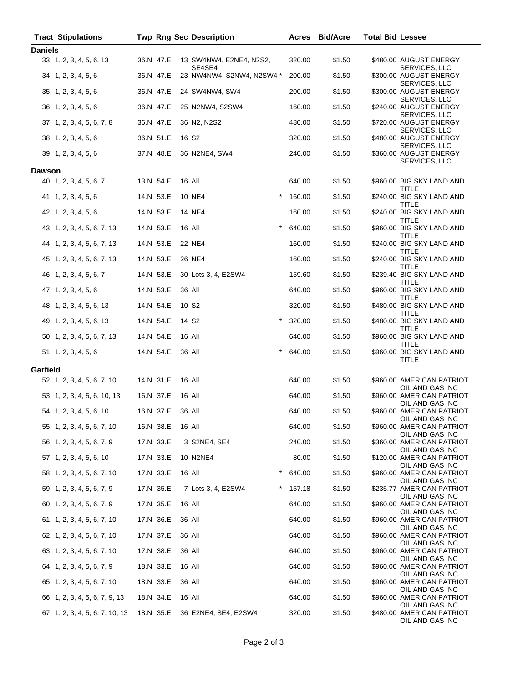| <b>Tract Stipulations</b>      |           |           | <b>Twp Rng Sec Description</b>      |        | Acres Bid/Acre | <b>Total Bid Lessee</b>                                  |
|--------------------------------|-----------|-----------|-------------------------------------|--------|----------------|----------------------------------------------------------|
| <b>Daniels</b>                 |           |           |                                     |        |                |                                                          |
| 33 1, 2, 3, 4, 5, 6, 13        |           | 36.N 47.E | 13 SW4NW4, E2NE4, N2S2,             | 320.00 | \$1.50         | \$480.00 AUGUST ENERGY                                   |
| 34 1, 2, 3, 4, 5, 6            |           | 36.N 47.E | SE4SE4<br>23 NW4NW4, S2NW4, N2SW4 * | 200.00 | \$1.50         | SERVICES, LLC<br>\$300.00 AUGUST ENERGY<br>SERVICES, LLC |
| 35 1, 2, 3, 4, 5, 6            |           | 36.N 47.E | 24 SW4NW4, SW4                      | 200.00 | \$1.50         | \$300.00 AUGUST ENERGY<br>SERVICES, LLC                  |
| 36 1, 2, 3, 4, 5, 6            |           | 36.N 47.E | 25 N2NW4, S2SW4                     | 160.00 | \$1.50         | \$240.00 AUGUST ENERGY<br>SERVICES, LLC                  |
| 37 1, 2, 3, 4, 5, 6, 7, 8      |           | 36.N 47.E | 36 N2, N2S2                         | 480.00 | \$1.50         | \$720.00 AUGUST ENERGY<br>SERVICES, LLC                  |
| 38 1, 2, 3, 4, 5, 6            |           | 36.N 51.E | 16 S <sub>2</sub>                   | 320.00 | \$1.50         | \$480.00 AUGUST ENERGY<br>SERVICES, LLC                  |
| 39 1, 2, 3, 4, 5, 6            |           | 37.N 48.E | 36 N2NE4, SW4                       | 240.00 | \$1.50         | \$360.00 AUGUST ENERGY<br>SERVICES, LLC                  |
| Dawson                         |           |           |                                     |        |                |                                                          |
| 40 1, 2, 3, 4, 5, 6, 7         |           | 13.N 54.E | 16 All                              | 640.00 | \$1.50         | \$960.00 BIG SKY LAND AND<br>TITLE                       |
| $41 \quad 1, 2, 3, 4, 5, 6$    | 14.N 53.E |           | 10 NE4<br>$^\star$                  | 160.00 | \$1.50         | \$240.00 BIG SKY LAND AND<br>TITLE                       |
| 42 1, 2, 3, 4, 5, 6            | 14.N 53.E |           | 14 NE4                              | 160.00 | \$1.50         | \$240.00 BIG SKY LAND AND<br>TITLE                       |
| 43 1, 2, 3, 4, 5, 6, 7, 13     |           | 14.N 53.E | $\star$<br>16 All                   | 640.00 | \$1.50         | \$960.00 BIG SKY LAND AND<br>TITLE                       |
| 44 1, 2, 3, 4, 5, 6, 7, 13     |           | 14.N 53.E | 22 NE4                              | 160.00 | \$1.50         | \$240.00 BIG SKY LAND AND<br>TITLE                       |
| 45 1, 2, 3, 4, 5, 6, 7, 13     |           | 14.N 53.E | 26 NE4                              | 160.00 | \$1.50         | \$240.00 BIG SKY LAND AND<br>TITLE                       |
| 46 1, 2, 3, 4, 5, 6, 7         |           | 14.N 53.E | 30 Lots 3, 4, E2SW4                 | 159.60 | \$1.50         | \$239.40 BIG SKY LAND AND<br>TITLE                       |
| 47 1, 2, 3, 4, 5, 6            |           | 14.N 53.E | 36 All                              | 640.00 | \$1.50         | \$960.00 BIG SKY LAND AND<br>TITLE                       |
| 48 1, 2, 3, 4, 5, 6, 13        | 14.N 54.E |           | 10 S <sub>2</sub>                   | 320.00 | \$1.50         | \$480.00 BIG SKY LAND AND<br>TITLE                       |
| 49 1, 2, 3, 4, 5, 6, 13        |           | 14.N 54.E | 14 S <sub>2</sub><br>$^\star$       | 320.00 | \$1.50         | \$480.00 BIG SKY LAND AND<br>TITLE                       |
| 50 1, 2, 3, 4, 5, 6, 7, 13     | 14.N 54.E |           | 16 All                              | 640.00 | \$1.50         | \$960.00 BIG SKY LAND AND<br>TITLE                       |
| 51 1, 2, 3, 4, 5, 6            |           | 14.N 54.E | $\star$<br>36 All                   | 640.00 | \$1.50         | \$960.00 BIG SKY LAND AND<br>TITLE                       |
| Garfield                       |           |           |                                     |        |                |                                                          |
| 52 1, 2, 3, 4, 5, 6, 7, 10     |           | 14.N 31.E | 16 All                              | 640.00 | \$1.50         | \$960.00 AMERICAN PATRIOT<br>OIL AND GAS INC             |
| 53 1, 2, 3, 4, 5, 6, 10, 13    |           | 16.N 37.E | 16 All                              | 640.00 | \$1.50         | \$960.00 AMERICAN PATRIOT<br>OIL AND GAS INC             |
| 54 1, 2, 3, 4, 5, 6, 10        |           | 16.N 37.E | 36 All                              | 640.00 | \$1.50         | \$960.00 AMERICAN PATRIOT<br>OIL AND GAS INC             |
| 55 1, 2, 3, 4, 5, 6, 7, 10     | 16.N 38.E |           | 16 All                              | 640.00 | \$1.50         | \$960.00 AMERICAN PATRIOT<br>OIL AND GAS INC             |
| 56 1, 2, 3, 4, 5, 6, 7, 9      | 17.N 33.E |           | 3 S2NE4, SE4                        | 240.00 | \$1.50         | \$360.00 AMERICAN PATRIOT<br>OIL AND GAS INC             |
| 57 1, 2, 3, 4, 5, 6, 10        | 17.N 33.E |           | 10 N2NE4                            | 80.00  | \$1.50         | \$120.00 AMERICAN PATRIOT<br>OIL AND GAS INC             |
| 58 1, 2, 3, 4, 5, 6, 7, 10     |           | 17.N 33.E | $\star$<br>16 All                   | 640.00 | \$1.50         | \$960.00 AMERICAN PATRIOT<br>OIL AND GAS INC             |
| 59 1, 2, 3, 4, 5, 6, 7, 9      | 17.N 35.E |           | 7 Lots 3, 4, E2SW4                  | 157.18 | \$1.50         | \$235.77 AMERICAN PATRIOT<br>OIL AND GAS INC             |
| 60 1, 2, 3, 4, 5, 6, 7, 9      |           | 17.N 35.E | 16 All                              | 640.00 | \$1.50         | \$960.00 AMERICAN PATRIOT<br>OIL AND GAS INC             |
| 61 1, 2, 3, 4, 5, 6, 7, 10     |           | 17.N 36.E | 36 All                              | 640.00 | \$1.50         | \$960.00 AMERICAN PATRIOT<br>OIL AND GAS INC             |
| 62 1, 2, 3, 4, 5, 6, 7, 10     |           | 17.N 37.E | 36 All                              | 640.00 | \$1.50         | \$960.00 AMERICAN PATRIOT<br>OIL AND GAS INC             |
| 63 1, 2, 3, 4, 5, 6, 7, 10     | 17.N 38.E |           | 36 All                              | 640.00 | \$1.50         | \$960.00 AMERICAN PATRIOT<br>OIL AND GAS INC             |
| 64 1, 2, 3, 4, 5, 6, 7, 9      | 18.N 33.E |           | 16 All                              | 640.00 | \$1.50         | \$960.00 AMERICAN PATRIOT<br>OIL AND GAS INC             |
| 65 1, 2, 3, 4, 5, 6, 7, 10     |           | 18.N 33.E | 36 All                              | 640.00 | \$1.50         | \$960.00 AMERICAN PATRIOT<br>OIL AND GAS INC             |
| 66 1, 2, 3, 4, 5, 6, 7, 9, 13  | 18.N 34.E |           | 16 All                              | 640.00 | \$1.50         | \$960.00 AMERICAN PATRIOT<br>OIL AND GAS INC             |
| 67 1, 2, 3, 4, 5, 6, 7, 10, 13 |           | 18.N 35.E | 36 E2NE4, SE4, E2SW4                | 320.00 | \$1.50         | \$480.00 AMERICAN PATRIOT<br>OIL AND GAS INC             |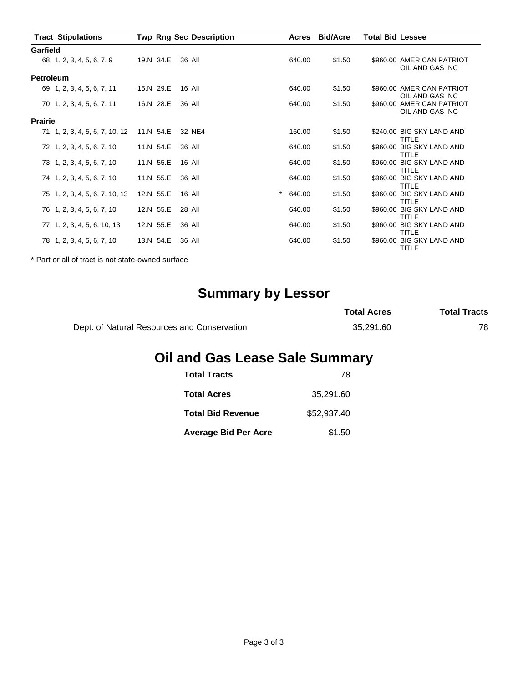| <b>Tract Stipulations</b>      |           | <b>Twp Rng Sec Description</b> | Acres             | <b>Bid/Acre</b> | <b>Total Bid Lessee</b>                      |
|--------------------------------|-----------|--------------------------------|-------------------|-----------------|----------------------------------------------|
| Garfield                       |           |                                |                   |                 |                                              |
| 68 1, 2, 3, 4, 5, 6, 7, 9      | 19.N 34.E | 36 All                         | 640.00            | \$1.50          | \$960.00 AMERICAN PATRIOT<br>OIL AND GAS INC |
| <b>Petroleum</b>               |           |                                |                   |                 |                                              |
| 69 1, 2, 3, 4, 5, 6, 7, 11     | 15.N 29.E | 16 All                         | 640.00            | \$1.50          | \$960.00 AMERICAN PATRIOT<br>OIL AND GAS INC |
| 70 1, 2, 3, 4, 5, 6, 7, 11     | 16.N 28.E | 36 All                         | 640.00            | \$1.50          | \$960.00 AMERICAN PATRIOT<br>OIL AND GAS INC |
| <b>Prairie</b>                 |           |                                |                   |                 |                                              |
| 71 1, 2, 3, 4, 5, 6, 7, 10, 12 | 11.N 54.E | 32 NE4                         | 160.00            | \$1.50          | \$240.00 BIG SKY LAND AND<br><b>TITLE</b>    |
| 72 1, 2, 3, 4, 5, 6, 7, 10     | 11.N 54.E | 36 All                         | 640.00            | \$1.50          | \$960.00 BIG SKY LAND AND<br><b>TITLE</b>    |
| 73 1, 2, 3, 4, 5, 6, 7, 10     | 11.N 55.E | 16 All                         | 640.00            | \$1.50          | \$960.00 BIG SKY LAND AND<br><b>TITLE</b>    |
| 74 1, 2, 3, 4, 5, 6, 7, 10     | 11.N 55.E | 36 All                         | 640.00            | \$1.50          | \$960.00 BIG SKY LAND AND<br>TITLE           |
| 75 1, 2, 3, 4, 5, 6, 7, 10, 13 | 12.N 55.E | 16 All                         | $\star$<br>640.00 | \$1.50          | \$960.00 BIG SKY LAND AND<br>TITLE           |
| 76 1, 2, 3, 4, 5, 6, 7, 10     | 12.N 55.E | 28 All                         | 640.00            | \$1.50          | \$960.00 BIG SKY LAND AND<br><b>TITLE</b>    |
| 77 1, 2, 3, 4, 5, 6, 10, 13    | 12.N 55.E | 36 All                         | 640.00            | \$1.50          | \$960.00 BIG SKY LAND AND<br><b>TITLE</b>    |
| 78 1, 2, 3, 4, 5, 6, 7, 10     | 13.N 54.E | 36 All                         | 640.00            | \$1.50          | \$960.00 BIG SKY LAND AND<br>TITLE           |

\* Part or all of tract is not state-owned surface

# **Summary by Lessor**

|                                             | <b>Total Acres</b> | <b>Total Tracts</b> |
|---------------------------------------------|--------------------|---------------------|
| Dept. of Natural Resources and Conservation | 35.291.60          | 78                  |

## **Oil and Gas Lease Sale Summary**

| <b>Total Tracts</b>         | 78          |
|-----------------------------|-------------|
| <b>Total Acres</b>          | 35.291.60   |
| <b>Total Bid Revenue</b>    | \$52,937.40 |
| <b>Average Bid Per Acre</b> | \$1.50      |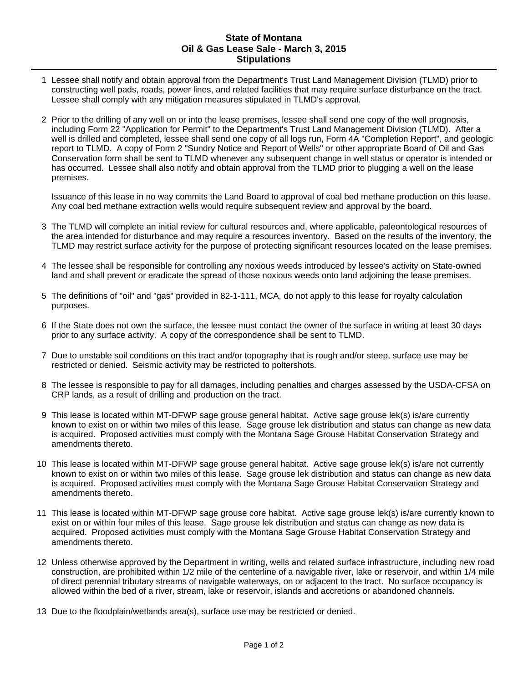#### **State of Montana Oil & Gas Lease Sale - March 3, 2015 Stipulations**

- 1 Lessee shall notify and obtain approval from the Department's Trust Land Management Division (TLMD) prior to constructing well pads, roads, power lines, and related facilities that may require surface disturbance on the tract. Lessee shall comply with any mitigation measures stipulated in TLMD's approval.
- 2 Prior to the drilling of any well on or into the lease premises, lessee shall send one copy of the well prognosis, including Form 22 "Application for Permit" to the Department's Trust Land Management Division (TLMD). After a well is drilled and completed, lessee shall send one copy of all logs run, Form 4A "Completion Report", and geologic report to TLMD. A copy of Form 2 "Sundry Notice and Report of Wells" or other appropriate Board of Oil and Gas Conservation form shall be sent to TLMD whenever any subsequent change in well status or operator is intended or has occurred. Lessee shall also notify and obtain approval from the TLMD prior to plugging a well on the lease premises.

Issuance of this lease in no way commits the Land Board to approval of coal bed methane production on this lease. Any coal bed methane extraction wells would require subsequent review and approval by the board.

- 3 The TLMD will complete an initial review for cultural resources and, where applicable, paleontological resources of the area intended for disturbance and may require a resources inventory. Based on the results of the inventory, the TLMD may restrict surface activity for the purpose of protecting significant resources located on the lease premises.
- 4 The lessee shall be responsible for controlling any noxious weeds introduced by lessee's activity on State-owned land and shall prevent or eradicate the spread of those noxious weeds onto land adjoining the lease premises.
- 5 The definitions of "oil" and "gas" provided in 82-1-111, MCA, do not apply to this lease for royalty calculation purposes.
- 6 If the State does not own the surface, the lessee must contact the owner of the surface in writing at least 30 days prior to any surface activity. A copy of the correspondence shall be sent to TLMD.
- 7 Due to unstable soil conditions on this tract and/or topography that is rough and/or steep, surface use may be restricted or denied. Seismic activity may be restricted to poltershots.
- 8 The lessee is responsible to pay for all damages, including penalties and charges assessed by the USDA-CFSA on CRP lands, as a result of drilling and production on the tract.
- 9 This lease is located within MT-DFWP sage grouse general habitat. Active sage grouse lek(s) is/are currently known to exist on or within two miles of this lease. Sage grouse lek distribution and status can change as new data is acquired. Proposed activities must comply with the Montana Sage Grouse Habitat Conservation Strategy and amendments thereto.
- 10 This lease is located within MT-DFWP sage grouse general habitat. Active sage grouse lek(s) is/are not currently known to exist on or within two miles of this lease. Sage grouse lek distribution and status can change as new data is acquired. Proposed activities must comply with the Montana Sage Grouse Habitat Conservation Strategy and amendments thereto.
- 11 This lease is located within MT-DFWP sage grouse core habitat. Active sage grouse lek(s) is/are currently known to exist on or within four miles of this lease. Sage grouse lek distribution and status can change as new data is acquired. Proposed activities must comply with the Montana Sage Grouse Habitat Conservation Strategy and amendments thereto.
- 12 Unless otherwise approved by the Department in writing, wells and related surface infrastructure, including new road construction, are prohibited within 1/2 mile of the centerline of a navigable river, lake or reservoir, and within 1/4 mile of direct perennial tributary streams of navigable waterways, on or adjacent to the tract. No surface occupancy is allowed within the bed of a river, stream, lake or reservoir, islands and accretions or abandoned channels.
- 13 Due to the floodplain/wetlands area(s), surface use may be restricted or denied.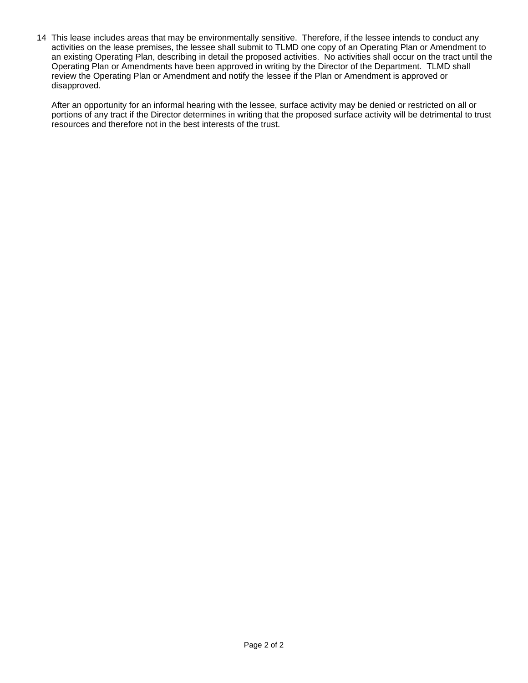14 This lease includes areas that may be environmentally sensitive. Therefore, if the lessee intends to conduct any activities on the lease premises, the lessee shall submit to TLMD one copy of an Operating Plan or Amendment to an existing Operating Plan, describing in detail the proposed activities. No activities shall occur on the tract until the Operating Plan or Amendments have been approved in writing by the Director of the Department. TLMD shall review the Operating Plan or Amendment and notify the lessee if the Plan or Amendment is approved or disapproved.

After an opportunity for an informal hearing with the lessee, surface activity may be denied or restricted on all or portions of any tract if the Director determines in writing that the proposed surface activity will be detrimental to trust resources and therefore not in the best interests of the trust.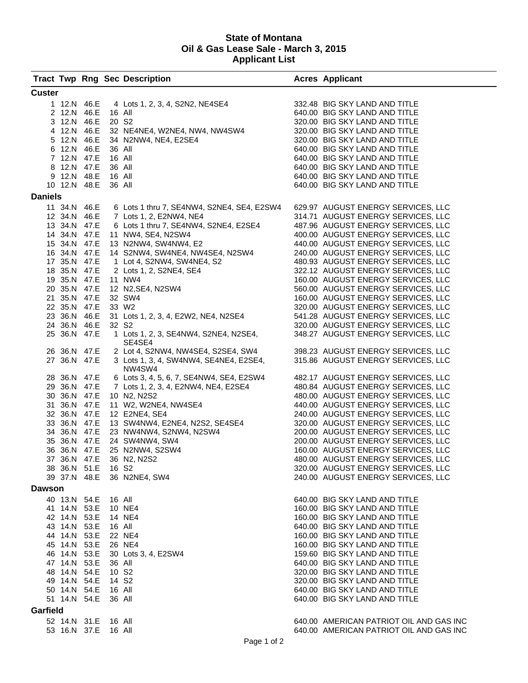#### **State of Montana Oil & Gas Lease Sale - March 3, 2015 Applicant List**

|                |              |                     |                   | <b>Tract Twp Rng Sec Description</b>                                                                                                                                                                                                             | <b>Acres Applicant</b>                                                   |
|----------------|--------------|---------------------|-------------------|--------------------------------------------------------------------------------------------------------------------------------------------------------------------------------------------------------------------------------------------------|--------------------------------------------------------------------------|
| <b>Custer</b>  |              |                     |                   |                                                                                                                                                                                                                                                  |                                                                          |
|                |              |                     |                   |                                                                                                                                                                                                                                                  | 332.48 BIG SKY LAND AND TITLE                                            |
|                |              |                     |                   | 1 12.N 46.E 4 Lots 1, 2, 3, 4, S2N2, NE4SE4<br>2 12.N 46.E 16 All                                                                                                                                                                                | 640.00 BIG SKY LAND AND TITLE                                            |
|                | 3 12.N 46.E  |                     | 20 S <sub>2</sub> |                                                                                                                                                                                                                                                  | 320.00 BIG SKY LAND AND TITLE                                            |
|                | 4 12.N 46.E  |                     |                   | 32 NE4NE4, W2NE4, NW4, NW4SW4                                                                                                                                                                                                                    | 320.00 BIG SKY LAND AND TITLE                                            |
|                |              | 5 12.N 46.E         |                   |                                                                                                                                                                                                                                                  | 320.00 BIG SKY LAND AND TITLE                                            |
|                | 6 12.N 46.E  |                     |                   |                                                                                                                                                                                                                                                  | 640.00 BIG SKY LAND AND TITLE                                            |
|                | 7 12.N 47.E  |                     |                   |                                                                                                                                                                                                                                                  | 640.00 BIG SKY LAND AND TITLE                                            |
|                | 8 12.N 47.E  |                     |                   | 34 N2NW4, NE4, E2SE4<br>36 All<br>16 All<br>36 All<br>16 All                                                                                                                                                                                     | 640.00 BIG SKY LAND AND TITLE                                            |
|                | 9 12.N 48.E  |                     | 16 All            |                                                                                                                                                                                                                                                  | 640.00 BIG SKY LAND AND TITLE                                            |
|                |              | 10 12.N 48.E        | 36 All            |                                                                                                                                                                                                                                                  | 640.00 BIG SKY LAND AND TITLE                                            |
| <b>Daniels</b> |              |                     |                   |                                                                                                                                                                                                                                                  |                                                                          |
|                |              | 11 34.N 46.E        |                   | 6 Lots 1 thru 7, SE4NW4, S2NE4, SE4, E2SW4                                                                                                                                                                                                       | 629.97 AUGUST ENERGY SERVICES, LLC                                       |
|                |              |                     |                   | 12 34.N 46.E 7 Lots 1, 2, E2NW4, NE4                                                                                                                                                                                                             | 314.71 AUGUST ENERGY SERVICES, LLC                                       |
|                | 13 34.N 47.E |                     |                   | 6 Lots 1 thru 7, SE4NW4, S2NE4, E2SE4                                                                                                                                                                                                            | 487.96 AUGUST ENERGY SERVICES, LLC                                       |
|                | 14 34.N 47.E |                     |                   | 11 NW4, SE4, N2SW4                                                                                                                                                                                                                               | 400.00 AUGUST ENERGY SERVICES, LLC                                       |
|                | 15 34.N 47.E |                     |                   | 13 N2NW4, SW4NW4, E2                                                                                                                                                                                                                             | 440.00 AUGUST ENERGY SERVICES, LLC                                       |
|                | 16 34.N 47.E |                     |                   | 14 S2NW4, SW4NE4, NW4SE4, N2SW4                                                                                                                                                                                                                  | 240.00 AUGUST ENERGY SERVICES, LLC                                       |
|                | 17 35.N 47.E |                     |                   |                                                                                                                                                                                                                                                  | 480.93 AUGUST ENERGY SERVICES, LLC                                       |
|                | 18 35.N 47.E | 19 35.N 47.E 11 NW4 |                   |                                                                                                                                                                                                                                                  | 322.12 AUGUST ENERGY SERVICES, LLC                                       |
|                | 20 35.N 47.E |                     |                   |                                                                                                                                                                                                                                                  | 160.00 AUGUST ENERGY SERVICES, LLC<br>560.00 AUGUST ENERGY SERVICES, LLC |
|                | 21 35.N 47.E |                     |                   |                                                                                                                                                                                                                                                  | 160.00 AUGUST ENERGY SERVICES, LLC                                       |
|                | 22 35.N 47.E |                     |                   | 1 Lot 4, S2NW4, SW4NE4, S2<br>2 Lots 1, 2, S2NE4, SE4<br>11 NW4<br>12 N2,SE4, N2SW4<br>32 SW4<br>33 W2<br>33 W <sub>2</sub>                                                                                                                      | 320.00 AUGUST ENERGY SERVICES, LLC                                       |
|                | 23 36.N 46.E |                     |                   | 31 Lots 1, 2, 3, 4, E2W2, NE4, N2SE4                                                                                                                                                                                                             | 541.28 AUGUST ENERGY SERVICES, LLC                                       |
|                | 24 36.N 46.E |                     | 32 S <sub>2</sub> |                                                                                                                                                                                                                                                  | 320.00 AUGUST ENERGY SERVICES, LLC                                       |
|                | 25 36.N 47.E |                     |                   | 1 Lots 1, 2, 3, SE4NW4, S2NE4, N2SE4,                                                                                                                                                                                                            | 348.27 AUGUST ENERGY SERVICES, LLC                                       |
|                |              |                     |                   | SE4SE4                                                                                                                                                                                                                                           |                                                                          |
|                | 26 36.N 47.E |                     |                   | 2 Lot 4, S2NW4, NW4SE4, S2SE4, SW4<br>3 Lots 1, 3, 4, SW4NW4, SE4NE4, E2SE4,                                                                                                                                                                     | 398.23 AUGUST ENERGY SERVICES, LLC                                       |
|                | 27 36.N 47.E |                     |                   | NW4SW4                                                                                                                                                                                                                                           | 315.86 AUGUST ENERGY SERVICES, LLC                                       |
|                | 28 36.N 47.E |                     |                   | 6 Lots 3, 4, 5, 6, 7, SE4NW4, SE4, E2SW4                                                                                                                                                                                                         | 482.17 AUGUST ENERGY SERVICES, LLC                                       |
|                | 29 36.N 47.E |                     |                   | 7 Lots 1, 2, 3, 4, E2NW4, NE4, E2SE4                                                                                                                                                                                                             | 480.84 AUGUST ENERGY SERVICES, LLC                                       |
|                | 30 36.N 47.E |                     |                   | 10 N2, N2S2                                                                                                                                                                                                                                      | 480.00 AUGUST ENERGY SERVICES, LLC                                       |
|                |              |                     |                   |                                                                                                                                                                                                                                                  | 440.00 AUGUST ENERGY SERVICES, LLC                                       |
|                |              |                     |                   | 30 36.N 47.E 10 N2, N2S2<br>31 36.N 47.E 11 W2, W2NE4, NW4SE4<br>32 36.N 47.E 12 E2NE4, SE4<br>33 36.N 47.E 13 SW4NW4, E2NE4, N2S2, SE4SE4<br>34 36.N 47.E 23 NW4NW4, S2NW4, N2SW4<br>35 36.N 47.E 24 SW4NW4, SW4<br>36 36.N 47.E 25 N2NW4, S2SW | 240.00 AUGUST ENERGY SERVICES, LLC                                       |
|                |              |                     |                   |                                                                                                                                                                                                                                                  | 320.00 AUGUST ENERGY SERVICES, LLC                                       |
|                |              |                     |                   |                                                                                                                                                                                                                                                  | 200.00 AUGUST ENERGY SERVICES, LLC                                       |
|                |              |                     |                   |                                                                                                                                                                                                                                                  | 200.00 AUGUST ENERGY SERVICES, LLC                                       |
|                |              |                     |                   |                                                                                                                                                                                                                                                  | 160.00 AUGUST ENERGY SERVICES, LLC                                       |
|                |              |                     |                   | 37 36.N 47.E 36 N2, N2S2                                                                                                                                                                                                                         | 480.00 AUGUST ENERGY SERVICES, LLC                                       |
|                | 38 36.N 51.E |                     | 16 S2             |                                                                                                                                                                                                                                                  | 320.00 AUGUST ENERGY SERVICES, LLC                                       |
|                |              |                     |                   | 39 37.N 48.E 36 N2NE4, SW4                                                                                                                                                                                                                       | 240.00 AUGUST ENERGY SERVICES, LLC                                       |
| Dawson         |              |                     |                   |                                                                                                                                                                                                                                                  |                                                                          |
|                | 40 13.N 54.E |                     | 16 All            |                                                                                                                                                                                                                                                  | 640.00 BIG SKY LAND AND TITLE                                            |
|                | 41 14.N 53.E |                     | 10 NE4            |                                                                                                                                                                                                                                                  | 160.00 BIG SKY LAND AND TITLE                                            |
|                | 42 14.N 53.E |                     | 14 NE4            |                                                                                                                                                                                                                                                  | 160.00 BIG SKY LAND AND TITLE                                            |
|                | 43 14.N 53.E |                     | 16 All            |                                                                                                                                                                                                                                                  | 640.00 BIG SKY LAND AND TITLE                                            |
|                | 44 14.N 53.E |                     |                   | 22 NE4                                                                                                                                                                                                                                           | 160.00 BIG SKY LAND AND TITLE                                            |
|                | 45 14.N 53.E |                     | 26 NE4            |                                                                                                                                                                                                                                                  | 160.00 BIG SKY LAND AND TITLE                                            |
|                |              |                     |                   | 46 14.N 53.E 30 Lots 3, 4, E2SW4                                                                                                                                                                                                                 | 159.60 BIG SKY LAND AND TITLE                                            |
|                |              | 47 14.N 53.E 36 All |                   |                                                                                                                                                                                                                                                  | 640.00 BIG SKY LAND AND TITLE                                            |
|                | 48 14.N 54.E |                     | 10 S2             |                                                                                                                                                                                                                                                  | 320.00 BIG SKY LAND AND TITLE                                            |
|                | 49 14.N 54.E |                     | 14 S <sub>2</sub> |                                                                                                                                                                                                                                                  | 320.00 BIG SKY LAND AND TITLE                                            |
|                | 50 14.N 54.E |                     | 16 All            |                                                                                                                                                                                                                                                  | 640.00 BIG SKY LAND AND TITLE                                            |
|                | 51 14.N 54.E |                     | 36 All            |                                                                                                                                                                                                                                                  | 640.00 BIG SKY LAND AND TITLE                                            |
| Garfield       |              |                     |                   |                                                                                                                                                                                                                                                  |                                                                          |
|                | 52 14.N 31.E |                     | 16 All            |                                                                                                                                                                                                                                                  | 640.00 AMERICAN PATRIOT OIL AND GAS INC                                  |
|                | 53 16.N 37.E |                     | 16 All            |                                                                                                                                                                                                                                                  | 640.00 AMERICAN PATRIOT OIL AND GAS INC                                  |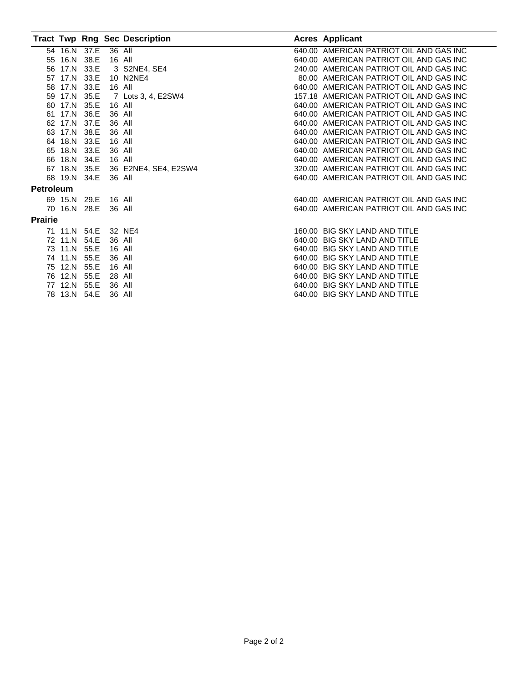|                  |              |      |        | <b>Tract Twp Rng Sec Description</b> | <b>Acres Applicant</b>                  |
|------------------|--------------|------|--------|--------------------------------------|-----------------------------------------|
|                  | 54 16.N 37.E |      | 36 All |                                      | 640.00 AMERICAN PATRIOT OIL AND GAS INC |
|                  | 55 16.N 38.E |      | 16 All |                                      | 640.00 AMERICAN PATRIOT OIL AND GAS INC |
|                  | 56 17.N      | 33.E |        | 3 S2NE4, SE4                         | 240.00 AMERICAN PATRIOT OIL AND GAS INC |
|                  | 57 17.N      | 33.E |        | 10 N2NE4                             | 80.00 AMERICAN PATRIOT OIL AND GAS INC  |
|                  | 58 17.N 33.E |      | 16 All |                                      | 640.00 AMERICAN PATRIOT OIL AND GAS INC |
|                  | 59 17.N      | 35.E |        | 7 Lots 3, 4, E2SW4                   | 157.18 AMERICAN PATRIOT OIL AND GAS INC |
|                  | 60 17.N 35.E |      | 16 All |                                      | 640.00 AMERICAN PATRIOT OIL AND GAS INC |
| 61               | 17.N         | 36.E | 36 All |                                      | 640.00 AMERICAN PATRIOT OIL AND GAS INC |
|                  | 62 17.N 37.E |      | 36 All |                                      | 640.00 AMERICAN PATRIOT OIL AND GAS INC |
|                  | 63 17.N      | 38.E | 36 All |                                      | 640.00 AMERICAN PATRIOT OIL AND GAS INC |
|                  | 64 18.N 33.E |      | 16 All |                                      | 640.00 AMERICAN PATRIOT OIL AND GAS INC |
|                  | 65 18.N 33.E |      | 36 All |                                      | 640.00 AMERICAN PATRIOT OIL AND GAS INC |
|                  | 66 18.N 34.E |      | 16 All |                                      | 640.00 AMERICAN PATRIOT OIL AND GAS INC |
|                  | 67 18.N 35.E |      |        | 36 E2NE4, SE4, E2SW4                 | 320.00 AMERICAN PATRIOT OIL AND GAS INC |
|                  | 68 19.N 34.E |      | 36 All |                                      | 640.00 AMERICAN PATRIOT OIL AND GAS INC |
| <b>Petroleum</b> |              |      |        |                                      |                                         |
|                  | 69 15.N 29.E |      | 16 All |                                      | 640.00 AMERICAN PATRIOT OIL AND GAS INC |
|                  | 70 16.N 28.E |      | 36 All |                                      | 640.00 AMERICAN PATRIOT OIL AND GAS INC |
| <b>Prairie</b>   |              |      |        |                                      |                                         |
|                  | 71 11.N 54.E |      |        | 32 NE4                               | 160.00 BIG SKY LAND AND TITLE           |
|                  | 72 11.N 54.E |      | 36 All |                                      | 640.00 BIG SKY LAND AND TITLE           |
|                  | 73 11.N      | 55.E | 16 All |                                      | 640.00 BIG SKY LAND AND TITLE           |
|                  | 74 11.N      | 55.E | 36 All |                                      | 640.00 BIG SKY LAND AND TITLE           |
|                  | 75 12.N 55.E |      | 16 All |                                      | 640.00 BIG SKY LAND AND TITLE           |
|                  | 76 12.N      | 55.E | 28 All |                                      | 640.00 BIG SKY LAND AND TITLE           |
|                  | 77 12.N      | 55.E | 36 All |                                      | 640.00 BIG SKY LAND AND TITLE           |
|                  | 78 13.N 54.E |      | 36 All |                                      | 640.00 BIG SKY LAND AND TITLE           |